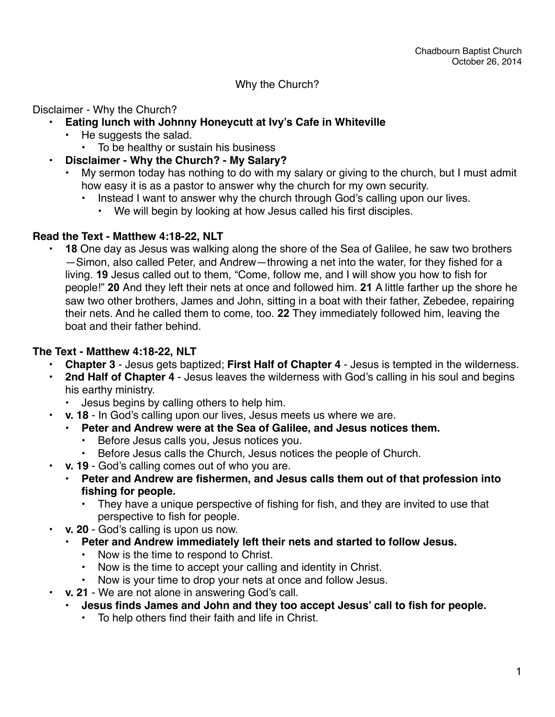### Why the Church?

Disclaimer - Why the Church?

- **• Eating lunch with Johnny Honeycutt at Ivy's Cafe in Whiteville**
	- He suggests the salad.
		- To be healthy or sustain his business
- **• Disclaimer Why the Church? My Salary?**
	- My sermon today has nothing to do with my salary or giving to the church, but I must admit how easy it is as a pastor to answer why the church for my own security.
		- Instead I want to answer why the church through God's calling upon our lives.
			- We will begin by looking at how Jesus called his first disciples.

### **Read the Text - Matthew 4:18-22, NLT**

• **18** One day as Jesus was walking along the shore of the Sea of Galilee, he saw two brothers —Simon, also called Peter, and Andrew—throwing a net into the water, for they fished for a living. **19** Jesus called out to them, "Come, follow me, and I will show you how to fish for people!" **20** And they left their nets at once and followed him. **21** A little farther up the shore he saw two other brothers, James and John, sitting in a boat with their father, Zebedee, repairing their nets. And he called them to come, too. **22** They immediately followed him, leaving the boat and their father behind.

### **The Text - Matthew 4:18-22, NLT**

- **Chapter 3** Jesus gets baptized; **First Half of Chapter 4** Jesus is tempted in the wilderness.
- **2nd Half of Chapter 4** Jesus leaves the wilderness with God's calling in his soul and begins his earthy ministry.
	- Jesus begins by calling others to help him.
- **v. 18** In God's calling upon our lives, Jesus meets us where we are.
	- **• Peter and Andrew were at the Sea of Galilee, and Jesus notices them.**
		- Before Jesus calls you, Jesus notices you.
		- Before Jesus calls the Church, Jesus notices the people of Church.
- **v. 19** God's calling comes out of who you are.
	- **• Peter and Andrew are fishermen, and Jesus calls them out of that profession into fishing for people.**
		- They have a unique perspective of fishing for fish, and they are invited to use that perspective to fish for people.
- **v. 20** God's calling is upon us now.
	- **• Peter and Andrew immediately left their nets and started to follow Jesus.**
		- Now is the time to respond to Christ.
		- Now is the time to accept your calling and identity in Christ.
		- Now is your time to drop your nets at once and follow Jesus.
- **v. 21** We are not alone in answering God's call.
	- **• Jesus finds James and John and they too accept Jesus' call to fish for people.**
		- To help others find their faith and life in Christ.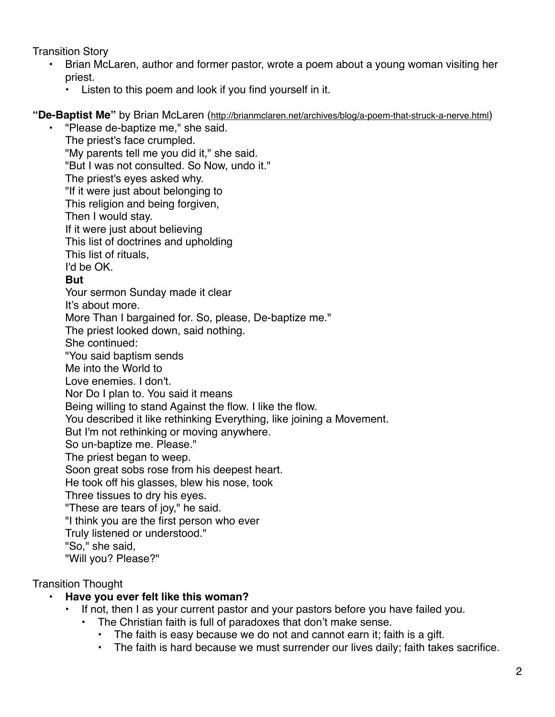Transition Story

- Brian McLaren, author and former pastor, wrote a poem about a young woman visiting her priest.
	- Listen to this poem and look if you find yourself in it.

## **"De-Baptist Me"** by Brian McLaren ([http://brianmclaren.net/archives/blog/a-poem-that-struck-a-nerve.html\)](http://brianmclaren.net/archives/blog/a-poem-that-struck-a-nerve.html)

"Please de-baptize me," she said. The priest's face crumpled. "My parents tell me you did it," she said. "But I was not consulted. So Now, undo it." The priest's eyes asked why. "If it were just about belonging to This religion and being forgiven, Then I would stay. If it were just about believing This list of doctrines and upholding This list of rituals, I'd be OK. **But** Your sermon Sunday made it clear It's about more. More Than I bargained for. So, please, De-baptize me." The priest looked down, said nothing. She continued: "You said baptism sends Me into the World to Love enemies. I don't. Nor Do I plan to. You said it means Being willing to stand Against the flow. I like the flow. You described it like rethinking Everything, like joining a Movement. But I'm not rethinking or moving anywhere. So un-baptize me. Please." The priest began to weep. Soon great sobs rose from his deepest heart. He took off his glasses, blew his nose, took Three tissues to dry his eyes. "These are tears of joy," he said. "I think you are the first person who ever Truly listened or understood." "So," she said, "Will you? Please?"

Transition Thought

# **• Have you ever felt like this woman?**

- If not, then I as your current pastor and your pastors before you have failed you.
	- The Christian faith is full of paradoxes that don't make sense.
		- The faith is easy because we do not and cannot earn it; faith is a gift.
		- The faith is hard because we must surrender our lives daily; faith takes sacrifice.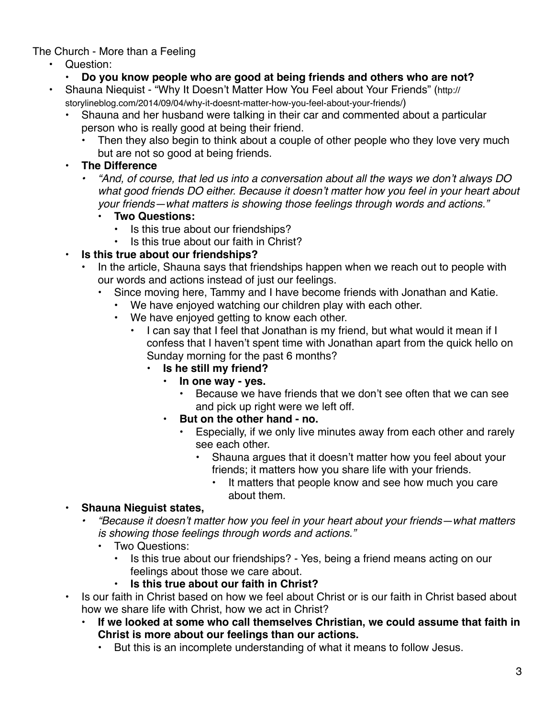The Church - More than a Feeling

- Question:
	- **• Do you know people who are good at being friends and others who are not?**
- [Shauna Niequist "Why It Doesn't Matter How You Feel about Your Friends" \(http://](http://storylineblog.com/2014/09/04/why-it-doesnt-matter-how-you-feel-about-your-friends/) storylineblog.com/2014/09/04/why-it-doesnt-matter-how-you-feel-about-your-friends/)
	- Shauna and her husband were talking in their car and commented about a particular person who is really good at being their friend.
		- Then they also begin to think about a couple of other people who they love very much but are not so good at being friends.
	- **• The Difference**
		- *• "And, of course, that led us into a conversation about all the ways we don't always DO what good friends DO either. Because it doesn't matter how you feel in your heart about your friends—what matters is showing those feelings through words and actions."*
			- **• Two Questions:**
				- Is this true about our friendships?
				- Is this true about our faith in Christ?
	- **• Is this true about our friendships?**
		- In the article, Shauna says that friendships happen when we reach out to people with our words and actions instead of just our feelings.
			- Since moving here, Tammy and I have become friends with Jonathan and Katie.
				- We have enjoyed watching our children play with each other.
				- We have enjoyed getting to know each other.
					- I can say that I feel that Jonathan is my friend, but what would it mean if I confess that I haven't spent time with Jonathan apart from the quick hello on Sunday morning for the past 6 months?
						- **• Is he still my friend?**
							- **• In one way yes.**
								- Because we have friends that we don't see often that we can see and pick up right were we left off.
							- **• But on the other hand no.**
								- Especially, if we only live minutes away from each other and rarely see each other.
									- Shauna argues that it doesn't matter how you feel about your friends; it matters how you share life with your friends.
										- It matters that people know and see how much you care about them.

## **• Shauna Nieguist states,**

- *• "Because it doesn't matter how you feel in your heart about your friends—what matters is showing those feelings through words and actions."*
	- Two Questions:
		- Is this true about our friendships? Yes, being a friend means acting on our feelings about those we care about.
		- **• Is this true about our faith in Christ?**
- Is our faith in Christ based on how we feel about Christ or is our faith in Christ based about how we share life with Christ, how we act in Christ?
	- **• If we looked at some who call themselves Christian, we could assume that faith in Christ is more about our feelings than our actions.**
		- But this is an incomplete understanding of what it means to follow Jesus.